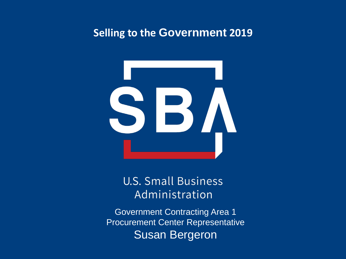#### **Selling to the Government 2019**



**U.S. Small Business** Administration

Government Contracting Area 1 Procurement Center Representative Susan Bergeron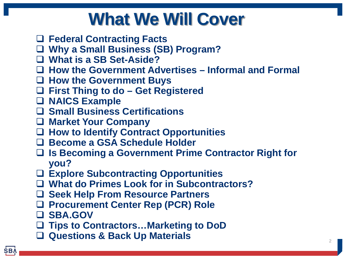## **What We Will Cover**

- **Federal Contracting Facts**
- **Why a Small Business (SB) Program?**
- **What is a SB Set-Aside?**
- **How the Government Advertises – Informal and Formal**
- **How the Government Buys**
- **First Thing to do – Get Registered**
- **NAICS Example**
- **Small Business Certifications**
- **Market Your Company**
- **How to Identify Contract Opportunities**
- **Become a GSA Schedule Holder**
- **Is Becoming a Government Prime Contractor Right for you?**
- **Explore Subcontracting Opportunities**
- **What do Primes Look for in Subcontractors?**
- **Seek Help From Resource Partners**
- **Procurement Center Rep (PCR) Role**
- **SBA.GOV**
- **Tips to Contractors…Marketing to DoD**
- **Questions & Back Up Materials** 2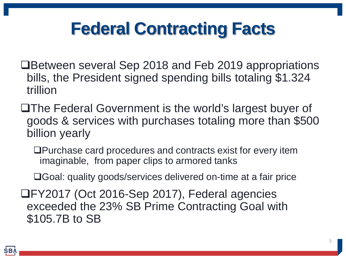## **Federal Contracting Facts**

- **□Between several Sep 2018 and Feb 2019 appropriations** bills, the President signed spending bills totaling \$1.324 trillion
- **□The Federal Government is the world's largest buyer of** goods & services with purchases totaling more than \$500 billion yearly
	- Purchase card procedures and contracts exist for every item imaginable, from paper clips to armored tanks
	- Goal: quality goods/services delivered on-time at a fair price

FY2017 (Oct 2016-Sep 2017), Federal agencies exceeded the 23% SB Prime Contracting Goal with \$105.7B to SB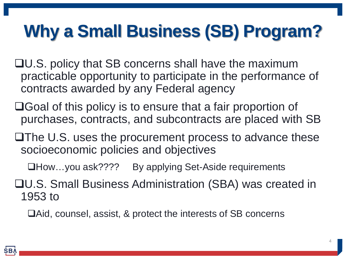# **Why a Small Business (SB) Program?**

- U.S. policy that SB concerns shall have the maximum practicable opportunity to participate in the performance of contracts awarded by any Federal agency
- **□Goal of this policy is to ensure that a fair proportion of** purchases, contracts, and subcontracts are placed with SB
- $\Box$  The U.S. uses the procurement process to advance these socioeconomic policies and objectives
	- **□How…you ask????** By applying Set-Aside requirements
- U.S. Small Business Administration (SBA) was created in 1953 to
	- Aid, counsel, assist, & protect the interests of SB concerns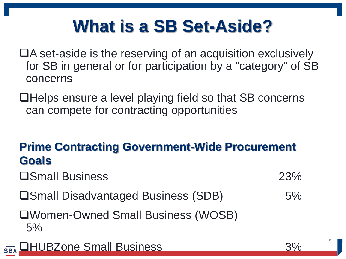# **What is a SB Set-Aside?**

- ■A set-aside is the reserving of an acquisition exclusively for SB in general or for participation by a "category" of SB concerns
- **□Helps ensure a level playing field so that SB concerns** can compete for contracting opportunities

#### **Prime Contracting Government-Wide Procurement Goals**

- **Small Business** 23%
	-
- **□Small Disadvantaged Business (SDB)** 5%

Women-Owned Small Business (WOSB)  $5%$ 



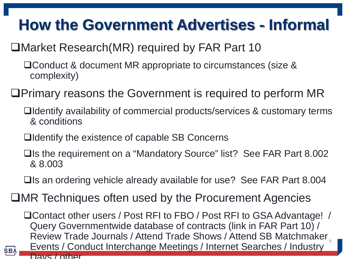## **How the Government Advertises - Informal**

#### ■Market Research(MR) required by FAR Part 10

- □ Conduct & document MR appropriate to circumstances (size & complexity)
- Primary reasons the Government is required to perform MR
	- Identify availability of commercial products/services & customary terms & conditions
	- **□**Identify the existence of capable SB Concerns

**SBA** 

- **□Is the requirement on a "Mandatory Source" list? See FAR Part 8.002** & 8.003
- $\Box$  Is an ordering vehicle already available for use? See FAR Part 8.004
- **□MR Techniques often used by the Procurement Agencies**

□ Contact other users / Post RFI to FBO / Post RFI to GSA Advantage! / Query Governmentwide database of contracts (link in FAR Part 10) / Review Trade Journals / Attend Trade Shows / Attend SB Matchmaker Events / Conduct Interchange Meetings / Internet Searches / Industry Days / other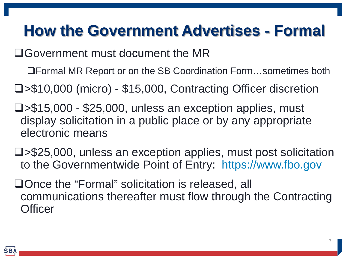## **How the Government Advertises - Formal**

Government must document the MR

Formal MR Report or on the SB Coordination Form…sometimes both

>\$10,000 (micro) - \$15,000, Contracting Officer discretion

- >\$15,000 \$25,000, unless an exception applies, must display solicitation in a public place or by any appropriate electronic means
- >\$25,000, unless an exception applies, must post solicitation to the Governmentwide Point of Entry: [https://www.fbo.gov](https://www.fbo.gov/)
- □Once the "Formal" solicitation is released, all communications thereafter must flow through the Contracting **Officer**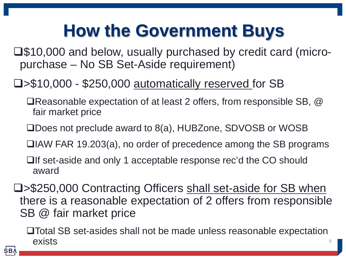# **How the Government Buys**

 $\square$ \$10,000 and below, usually purchased by credit card (micropurchase – No SB Set-Aside requirement)

#### >\$10,000 - \$250,000 automatically reserved for SB

- Reasonable expectation of at least 2 offers, from responsible SB, @ fair market price
- Does not preclude award to 8(a), HUBZone, SDVOSB or WOSB
- **□IAW FAR 19.203(a), no order of precedence among the SB programs**
- **□If set-aside and only 1 acceptable response rec'd the CO should** award
- >\$250,000 Contracting Officers shall set-aside for SB when there is a reasonable expectation of 2 offers from responsible SB @ fair market price

Total SB set-asides shall not be made unless reasonable expectation  $\blacksquare$ exists  $\blacksquare$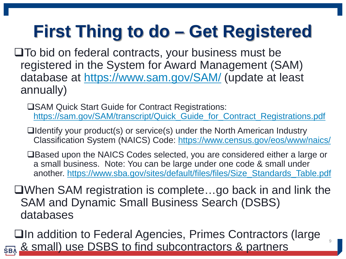# **First Thing to do – Get Registered**

- $\square$  To bid on federal contracts, your business must be registered in the System for Award Management (SAM) database at <https://www.sam.gov/SAM/> (update at least annually)
	- **□SAM Quick Start Guide for Contract Registrations:** [https://sam.gov/SAM/transcript/Quick\\_Guide\\_for\\_Contract\\_Registrations.pdf](https://sam.gov/SAM/transcript/Quick_Guide_for_Contract_Registrations.pdf)
	- ■Identify your product(s) or service(s) under the North American Industry Classification System (NAICS) Code: <https://www.census.gov/eos/www/naics/>
	- ■Based upon the NAICS Codes selected, you are considered either a large or a small business. Note: You can be large under one code & small under another. [https://www.sba.gov/sites/default/files/files/Size\\_Standards\\_Table.pdf](https://www.sba.gov/sites/default/files/files/Size_Standards_Table.pdf)
- When SAM registration is complete…go back in and link the SAM and Dynamic Small Business Search (DSBS) databases
- **□In addition to Federal Agencies, Primes Contractors (large & small) use DSBS to find subcontractors & partners**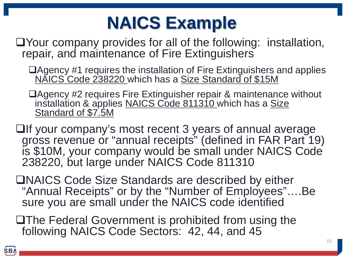# **NAICS Example**

- Your company provides for all of the following: installation, repair, and maintenance of Fire Extinguishers
	- Agency #1 requires the installation of Fire Extinguishers and applies NAICS Code 238220 which has a Size Standard of \$15M
	- ■Agency #2 requires Fire Extinguisher repair & maintenance without installation & applies NAICS Code 811310 which has a Size Standard of \$7.5M
- $\Box$ If your company's most recent 3 years of annual average gross revenue or "annual receipts" (defined in FAR Part 19) is \$10M, your company would be small under NAICS Code 238220, but large under NAICS Code 811310
- ■NAICS Code Size Standards are described by either "Annual Receipts" or by the "Number of Employees"….Be sure you are small under the NAICS code identified
- **The Federal Government is prohibited from using the** following NAICS Code Sectors: 42, 44, and 45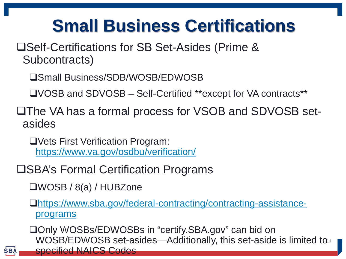# **Small Business Certifications**

**□Self-Certifications for SB Set-Asides (Prime &** Subcontracts)

Small Business/SDB/WOSB/EDWOSB

VOSB and SDVOSB – Self-Certified \*\*except for VA contracts\*\*

**QThe VA has a formal process for VSOB and SDVOSB set**asides

Vets First Verification Program: <https://www.va.gov/osdbu/verification/>

**□SBA's Formal Certification Programs** 

WOSB / 8(a) / HUBZone

**SBA** 

[https://www.sba.gov/federal-contracting/contracting-assistance](https://www.sba.gov/federal-contracting/contracting-assistance-programs)[programs](https://www.sba.gov/federal-contracting/contracting-assistance-programs)

□Only WOSBs/EDWOSBs in "certify.SBA.gov" can bid on WOSB/EDWOSB set-asides—Additionally, this set-aside is limited to $\scriptstyle\rm{10}$ specified NAICS Codes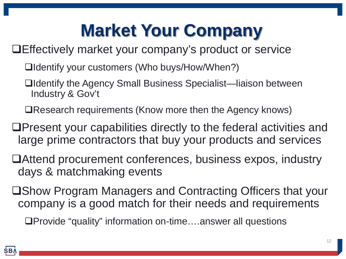# **Market Your Company**

Effectively market your company's product or service

- Identify your customers (Who buys/How/When?)
- Identify the Agency Small Business Specialist—liaison between Industry & Gov't
- Research requirements (Know more then the Agency knows)
- Present your capabilities directly to the federal activities and large prime contractors that buy your products and services
- Attend procurement conferences, business expos, industry days & matchmaking events
- ■Show Program Managers and Contracting Officers that your company is a good match for their needs and requirements

□Provide "quality" information on-time....answer all questions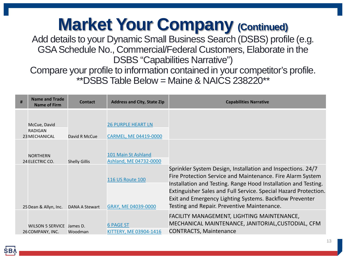# **Market Your Company (Continued)**

Add details to your Dynamic Small Business Search (DSBS) profile (e.g. GSA Schedule No., Commercial/Federal Customers, Elaborate in the DSBS "Capabilities Narrative")

Compare your profile to information contained in your competitor's profile. \*\*DSBS Table Below = Maine & NAICS 238220\*\*

| # | Name and Trade<br><b>Name of Firm</b>                  | Contact               | <b>Address and City, State Zip</b>                 | <b>Capabilities Narrative</b>                                                                                                                                                                                                                                                                                                                                            |
|---|--------------------------------------------------------|-----------------------|----------------------------------------------------|--------------------------------------------------------------------------------------------------------------------------------------------------------------------------------------------------------------------------------------------------------------------------------------------------------------------------------------------------------------------------|
|   | McCue, David<br><b>RADIGAN</b><br><b>23 MECHANICAL</b> | David R McCue         | <b>26 PURPLE HEART LN</b><br>CARMEL, ME 04419-0000 |                                                                                                                                                                                                                                                                                                                                                                          |
|   | <b>NORTHERN</b><br>24 ELECTRIC CO.                     | <b>Shelly Gillis</b>  | 101 Main St Ashland<br>Ashland, ME 04732-0000      |                                                                                                                                                                                                                                                                                                                                                                          |
|   | 25 Dean & Allyn, Inc.                                  | <b>DANA A Stewart</b> | <b>116 US Route 100</b><br>GRAY, ME 04039-0000     | Sprinkler System Design, Installation and Inspections. 24/7<br>Fire Protection Service and Maintenance. Fire Alarm System<br>Installation and Testing. Range Hood Installation and Testing.<br>Extinguisher Sales and Full Service. Special Hazard Protection.<br>Exit and Emergency Lighting Systems. Backflow Preventer<br>Testing and Repair. Preventive Maintenance. |
|   | <b>WILSON 5 SERVICE</b><br>26 COMPANY, INC.            | James D.<br>Woodman   | <b>6 PAGE ST</b><br>KITTERY, ME 03904-1416         | FACILITY MANAGEMENT, LIGHTING MAINTENANCE,<br>MECHANICAL MAINTENANCE, JANITORIAL, CUSTODIAL, CFM<br><b>CONTRACTS, Maintenance</b>                                                                                                                                                                                                                                        |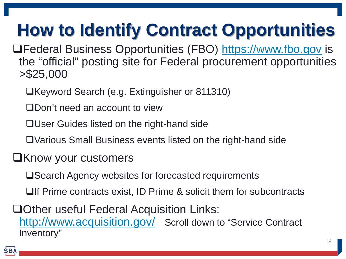# **How to Identify Contract Opportunities**

Federal Business Opportunities (FBO) [https://www.fbo.gov](https://www.fbo.gov/) is the "official" posting site for Federal procurement opportunities >\$25,000

- □Keyword Search (e.g. Extinguisher or 811310)
- Don't need an account to view
- **□User Guides listed on the right-hand side**
- Various Small Business events listed on the right-hand side
- **EXALLERGIVE CONTROVER CONTROVERS** 
	- **□Search Agency websites for forecasted requirements**
	- $\Box$  Prime contracts exist, ID Prime & solicit them for subcontracts

**□Other useful Federal Acquisition Links:** <http://www.acquisition.gov/> Scroll down to "Service Contract Inventory"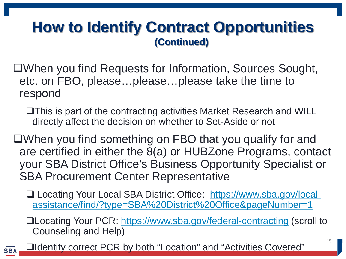### **How to Identify Contract Opportunities (Continued)**

- When you find Requests for Information, Sources Sought, etc. on FBO, please…please…please take the time to respond
	- This is part of the contracting activities Market Research and WILL directly affect the decision on whether to Set-Aside or not
- When you find something on FBO that you qualify for and are certified in either the 8(a) or HUBZone Programs, contact your SBA District Office's Business Opportunity Specialist or SBA Procurement Center Representative
	- □ Locating Your Local SBA District Office: [https://www.sba.gov/local](https://www.sba.gov/local-assistance/find/?type=SBA District Office&pageNumber=1)[assistance/find/?type=SBA%20District%20Office&pageNumber=1](https://www.sba.gov/local-assistance/find/?type=SBA District Office&pageNumber=1)
	- **QLocating Your PCR:<https://www.sba.gov/federal-contracting> (scroll to** Counseling and Help)
	- Identify correct PCR by both "Location" and "Activities Covered"

**SBA**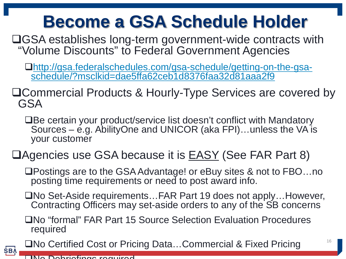## **Become a GSA Schedule Holder**

GSA establishes long-term government-wide contracts with "Volume Discounts" to Federal Government Agencies

[http://gsa.federalschedules.com/gsa-schedule/getting-on-the-gsa-](http://gsa.federalschedules.com/gsa-schedule/getting-on-the-gsa-schedule/?msclkid=dae5ffa62ceb1d8376faa32d81aaa2f9) [schedule/?msclkid=dae5ffa62ceb1d8376faa32d81aaa2f9](http://gsa.federalschedules.com/gsa-schedule/getting-on-the-gsa-schedule/?msclkid=dae5ffa62ceb1d8376faa32d81aaa2f9)

Commercial Products & Hourly-Type Services are covered by GSA

■Be certain your product/service list doesn't conflict with Mandatory Sources –  $\acute{e}$ .g. AbilityOne and UNICOR (aka FPI)... unless the VA is your customer

#### □ Agencies use GSA because it is EASY (See FAR Part 8)

Postings are to the GSA Advantage! or eBuy sites & not to FBO…no posting time requirements or need to post award info.

□No Set-Aside requirements...FAR Part 19 does not apply...However, Contracting Officers may set-aside orders to any of the SB concerns

No "formal" FAR Part 15 Source Selection Evaluation Procedures required

No Certified Cost or Pricing Data…Commercial & Fixed Pricing

**SBA**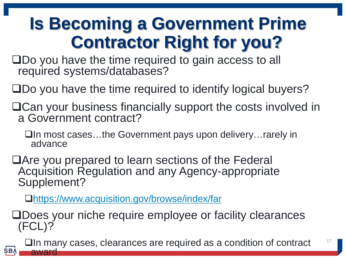## **Is Becoming a Government Prime Contractor Right for you?**

□Do you have the time required to gain access to all required systems/databases?

Do you have the time required to identify logical buyers?

Can your business financially support the costs involved in a Government contract?

In most cases…the Government pays upon delivery…rarely in advance

Are you prepared to learn sections of the Federal Acquisition Regulation and any Agency-appropriate Supplement?

<https://www.acquisition.gov/browse/index/far>

**SBA** 

Does your niche require employee or facility clearances (FCL)?

□In many cases, clearances are required as a condition of contract award

17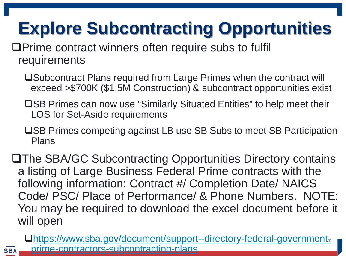# **Explore Subcontracting Opportunities**

**OPrime contract winners often require subs to fulfill** requirements

**SB** 

- □Subcontract Plans required from Large Primes when the contract will exceed >\$700K (\$1.5M Construction) & subcontract opportunities exist
- **□SB Primes can now use "Similarly Situated Entities" to help meet their** LOS for Set-Aside requirements
- **□SB Primes competing against LB use SB Subs to meet SB Participation** Plans

The SBA/GC Subcontracting Opportunities Directory contains a listing of Large Business Federal Prime contracts with the following information: Contract #/ Completion Date/ NAICS Code/ PSC/ Place of Performance/ & Phone Numbers. NOTE: You may be required to download the excel document before it will open

**Ohttps://www.sba.gov/document/support--directory-federal-government**<sup>8</sup> [prime-contractors-subcontracting-plans](https://www.sba.gov/document/support--directory-federal-government-prime-contractors-subcontracting-plans)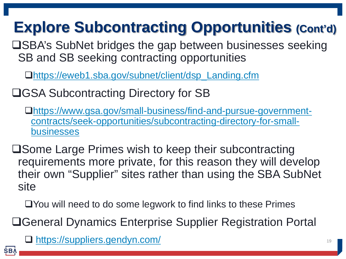## **Explore Subcontracting Opportunities (Cont'd)**

**□SBA's SubNet bridges the gap between businesses seeking** SB and SB seeking contracting opportunities

[https://eweb1.sba.gov/subnet/client/dsp\\_Landing.cfm](https://eweb1.sba.gov/subnet/client/dsp_Landing.cfm)

**□GSA Subcontracting Directory for SB** 

[https://www.gsa.gov/small-business/find-and-pursue-government](https://www.gsa.gov/small-business/find-and-pursue-government-contracts/seek-opportunities/subcontracting-directory-for-small-businesses)[contracts/seek-opportunities/subcontracting-directory-for-small](https://www.gsa.gov/small-business/find-and-pursue-government-contracts/seek-opportunities/subcontracting-directory-for-small-businesses)[businesses](https://www.gsa.gov/small-business/find-and-pursue-government-contracts/seek-opportunities/subcontracting-directory-for-small-businesses)

**□Some Large Primes wish to keep their subcontracting** requirements more private, for this reason they will develop their own "Supplier" sites rather than using the SBA SubNet site

You will need to do some legwork to find links to these Primes

General Dynamics Enterprise Supplier Registration Portal

<https://suppliers.gendyn.com/> <sup>19</sup>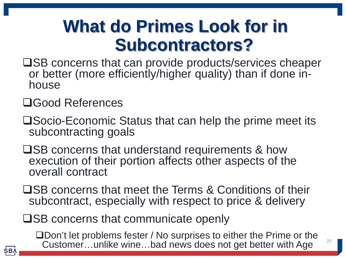## **What do Primes Look for in Subcontractors?**

- **□SB concerns that can provide products/services cheaper** or better (more efficiently/higher quality) than if done in- house
- Good References
- Socio-Economic Status that can help the prime meet its subcontracting goals
- $\square$ SB concerns that understand requirements & how execution of their portion affects other aspects of the overall contract
- **□SB concerns that meet the Terms & Conditions of their** subcontract, especially with respect to price & delivery

 $\square$ SB concerns that communicate openly

□Don't let problems fester / No surprises to either the Prime or the Customer...unlike wine...bad news does not get better with Age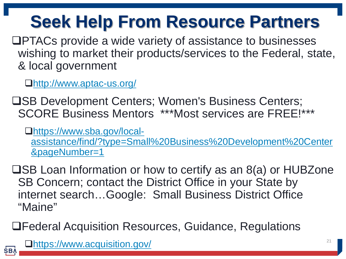# **Seek Help From Resource Partners**

PTACs provide a wide variety of assistance to businesses wishing to market their products/services to the Federal, state, & local government

<http://www.aptac-us.org/>

**USB Development Centers; Women's Business Centers;** SCORE Business Mentors \*\*\*Most services are FREE!\*\*\*

[https://www.sba.gov/local](https://www.sba.gov/local-assistance/find/?type=Small Business Development Center&pageNumber=1)[assistance/find/?type=Small%20Business%20Development%20Center](https://www.sba.gov/local-assistance/find/?type=Small Business Development Center&pageNumber=1) [&pageNumber=1](https://www.sba.gov/local-assistance/find/?type=Small Business Development Center&pageNumber=1)

 $\square$ SB Loan Information or how to certify as an 8(a) or HUBZone SB Concern; contact the District Office in your State by internet search…Google: Small Business District Office "Maine"

Federal Acquisition Resources, Guidance, Regulations

<https://www.acquisition.gov/> <sup>21</sup>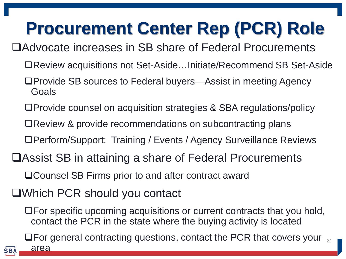# **Procurement Center Rep (PCR) Role**

Advocate increases in SB share of Federal Procurements

- Review acquisitions not Set-Aside…Initiate/Recommend SB Set-Aside
- □Provide SB sources to Federal buyers—Assist in meeting Agency Goals
- Provide counsel on acquisition strategies & SBA regulations/policy
- **□Review & provide recommendations on subcontracting plans**
- Perform/Support: Training / Events / Agency Surveillance Reviews
- Assist SB in attaining a share of Federal Procurements

□Counsel SB Firms prior to and after contract award

Which PCR should you contact

For specific upcoming acquisitions or current contracts that you hold, contact the PCR in the state where the buying activity is located

For general contracting questions, contact the PCR that covers your 22

area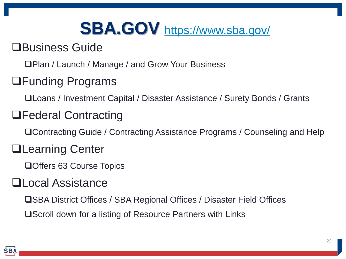# **SBA.GOV** <https://www.sba.gov/>

#### Business Guide

□Plan / Launch / Manage / and Grow Your Business

#### Funding Programs

Loans / Investment Capital / Disaster Assistance / Surety Bonds / Grants

#### Federal Contracting

■Contracting Guide / Contracting Assistance Programs / Counseling and Help

#### **QLearning Center**

□ Offers 63 Course Topics

#### **QLocal Assistance**

SBA District Offices / SBA Regional Offices / Disaster Field Offices

**□Scroll down for a listing of Resource Partners with Links**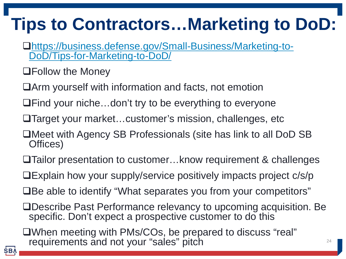# **Tips to Contractors…Marketing to DoD:**

- [https://business.defense.gov/Small-Business/Marketing-to-](https://business.defense.gov/Small-Business/Marketing-to-DoD/Tips-for-Marketing-to-DoD/) [DoD/Tips-for-Marketing-to-DoD/](https://business.defense.gov/Small-Business/Marketing-to-DoD/Tips-for-Marketing-to-DoD/)
- Follow the Money
- Arm yourself with information and facts, not emotion
- **□Find your niche…don't try to be everything to everyone**
- Target your market…customer's mission, challenges, etc
- ■Meet with Agency SB Professionals (site has link to all DoD SB Offices)
- Tailor presentation to customer…know requirement & challenges
- Explain how your supply/service positively impacts project c/s/p
- ■Be able to identify "What separates you from your competitors"
- Describe Past Performance relevancy to upcoming acquisition. Be specific. Don't expect a prospective customer to do this
- When meeting with PMs/COs, be prepared to discuss "real" requirements and not your "sales" pitch **EXAPT CONCORD FOR A 24**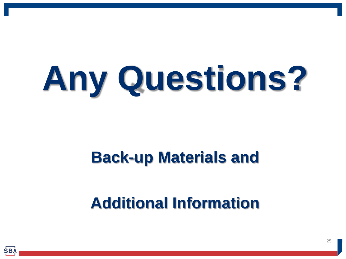# **Any Questions?**

## **Back-up Materials and**

## **Additional Information**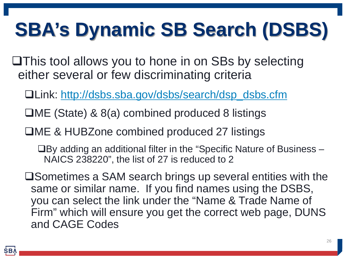# **SBA's Dynamic SB Search (DSBS)**

**This tool allows you to hone in on SBs by selecting** either several or few discriminating criteria

Link: [http://dsbs.sba.gov/dsbs/search/dsp\\_dsbs.cfm](http://dsbs.sba.gov/dsbs/search/dsp_dsbs.cfm)

- ME (State) & 8(a) combined produced 8 listings
- **□ME & HUBZone combined produced 27 listings**

 $\Box$  By adding an additional filter in the "Specific Nature of Business  $-$ NAICS 238220", the list of 27 is reduced to 2

**□Sometimes a SAM search brings up several entities with the** same or similar name. If you find names using the DSBS, you can select the link under the "Name & Trade Name of Firm" which will ensure you get the correct web page, DUNS and CAGE Codes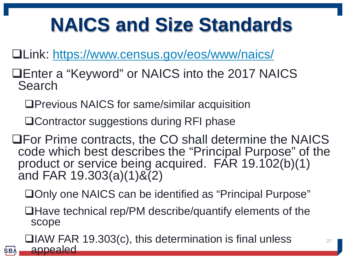# **NAICS and Size Standards**

Link: <https://www.census.gov/eos/www/naics/>

- Enter a "Keyword" or NAICS into the 2017 NAICS Search
	- Previous NAICS for same/similar acquisition
	- Contractor suggestions during RFI phase

**SBA** 

- For Prime contracts, the CO shall determine the NAICS code which best describes the "Principal Purpose" of the product or service being acquired. FAR 19.102(b)(1) and FAR 19.303(a)(1)&(2)
	- □Only one NAICS can be identified as "Principal Purpose"
	- ■Have technical rep/PM describe/quantify elements of the scope

 $\Box$ IAW FAR 19.303(c), this determination is final unless appealed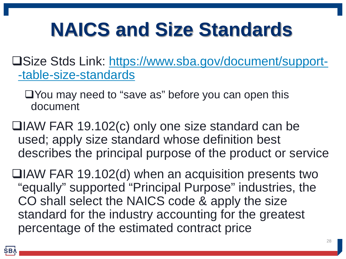# **NAICS and Size Standards**

- Size Stds Link: [https://www.sba.gov/document/support-](https://www.sba.gov/document/support--table-size-standards) [-table-size-standards](https://www.sba.gov/document/support--table-size-standards)
	- You may need to "save as" before you can open this document
- IAW FAR 19.102(c) only one size standard can be used; apply size standard whose definition best describes the principal purpose of the product or service
- $\Box$ IAW FAR 19.102(d) when an acquisition presents two "equally" supported "Principal Purpose" industries, the CO shall select the NAICS code & apply the size standard for the industry accounting for the greatest percentage of the estimated contract price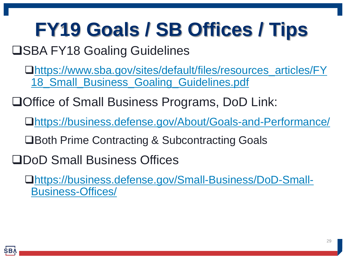# **FY19 Goals / SB Offices / Tips**

### **OSBA FY18 Goaling Guidelines**

[https://www.sba.gov/sites/default/files/resources\\_articles/FY](https://www.sba.gov/sites/default/files/resources_articles/FY18_Small_Business_Goaling_Guidelines.pdf) [18\\_Small\\_Business\\_Goaling\\_Guidelines.pdf](https://www.sba.gov/sites/default/files/resources_articles/FY18_Small_Business_Goaling_Guidelines.pdf)

**□Office of Small Business Programs, DoD Link:** 

<https://business.defense.gov/About/Goals-and-Performance/>

**□Both Prime Contracting & Subcontracting Goals** 

DoD Small Business Offices

[https://business.defense.gov/Small-Business/DoD-Small-](https://business.defense.gov/Small-Business/DoD-Small-Business-Offices/)[Business-Offices/](https://business.defense.gov/Small-Business/DoD-Small-Business-Offices/)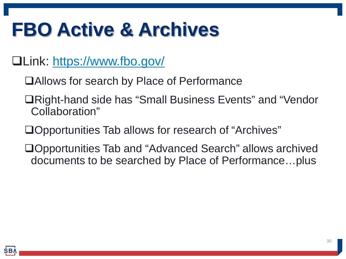# **FBO Active & Archives**

- Link: <https://www.fbo.gov/>
	- Allows for search by Place of Performance
	- **□Right-hand side has "Small Business Events" and "Vendor** Collaboration"
	- □Opportunities Tab allows for research of "Archives"
	- Opportunities Tab and "Advanced Search" allows archived documents to be searched by Place of Performance…plus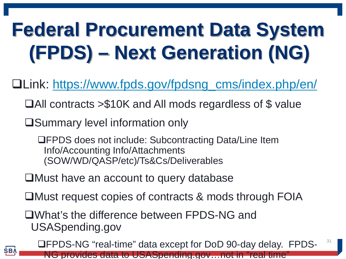# **Federal Procurement Data System (FPDS) – Next Generation (NG)**

Link: [https://www.fpds.gov/fpdsng\\_cms/index.php/en/](https://www.fpds.gov/fpdsng_cms/index.php/en/)

- All contracts >\$10K and All mods regardless of \$ value
- **□Summary level information only**

**SBA** 

FPDS does not include: Subcontracting Data/Line Item Info/Accounting Info/Attachments (SOW/WD/QASP/etc)/Ts&Cs/Deliverables

- Must have an account to query database
- ■Must request copies of contracts & mods through FOIA

What's the difference between FPDS-NG and USASpending.gov

FPDS-NG "real-time" data except for DoD 90-day delay. FPDS-NG provides data to USASpending.gov…not in "real time" 31